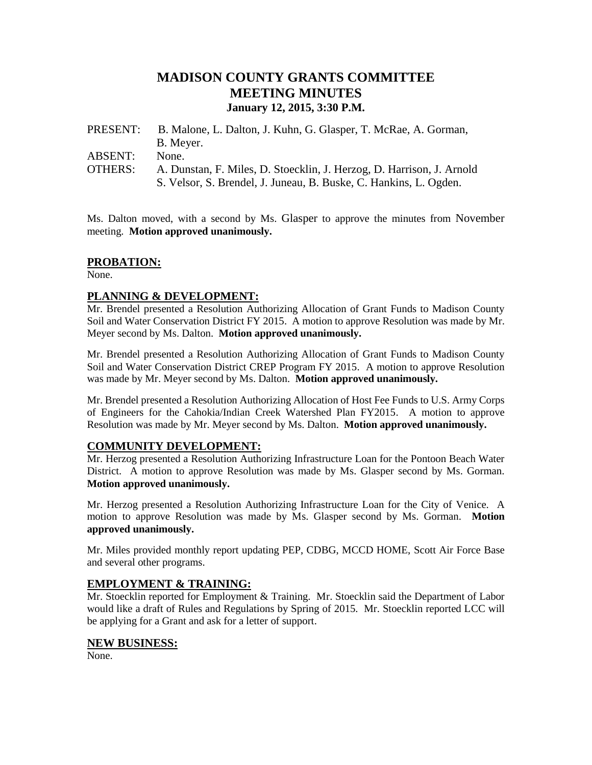# **MADISON COUNTY GRANTS COMMITTEE MEETING MINUTES January 12, 2015, 3:30 P.M.**

| PRESENT:       | B. Malone, L. Dalton, J. Kuhn, G. Glasper, T. McRae, A. Gorman,       |
|----------------|-----------------------------------------------------------------------|
|                | B. Meyer.                                                             |
| ABSENT:        | None.                                                                 |
| <b>OTHERS:</b> | A. Dunstan, F. Miles, D. Stoecklin, J. Herzog, D. Harrison, J. Arnold |
|                | S. Velsor, S. Brendel, J. Juneau, B. Buske, C. Hankins, L. Ogden.     |

Ms. Dalton moved, with a second by Ms. Glasper to approve the minutes from November meeting. **Motion approved unanimously.**

### **PROBATION:**

None.

### **PLANNING & DEVELOPMENT:**

Mr. Brendel presented a Resolution Authorizing Allocation of Grant Funds to Madison County Soil and Water Conservation District FY 2015. A motion to approve Resolution was made by Mr. Meyer second by Ms. Dalton. **Motion approved unanimously.**

Mr. Brendel presented a Resolution Authorizing Allocation of Grant Funds to Madison County Soil and Water Conservation District CREP Program FY 2015. A motion to approve Resolution was made by Mr. Meyer second by Ms. Dalton. **Motion approved unanimously.**

Mr. Brendel presented a Resolution Authorizing Allocation of Host Fee Funds to U.S. Army Corps of Engineers for the Cahokia/Indian Creek Watershed Plan FY2015. A motion to approve Resolution was made by Mr. Meyer second by Ms. Dalton. **Motion approved unanimously.**

## **COMMUNITY DEVELOPMENT:**

Mr. Herzog presented a Resolution Authorizing Infrastructure Loan for the Pontoon Beach Water District. A motion to approve Resolution was made by Ms. Glasper second by Ms. Gorman. **Motion approved unanimously.**

Mr. Herzog presented a Resolution Authorizing Infrastructure Loan for the City of Venice. A motion to approve Resolution was made by Ms. Glasper second by Ms. Gorman. **Motion approved unanimously.**

Mr. Miles provided monthly report updating PEP, CDBG, MCCD HOME, Scott Air Force Base and several other programs.

#### **EMPLOYMENT & TRAINING:**

Mr. Stoecklin reported for Employment & Training. Mr. Stoecklin said the Department of Labor would like a draft of Rules and Regulations by Spring of 2015. Mr. Stoecklin reported LCC will be applying for a Grant and ask for a letter of support.

#### **NEW BUSINESS:**

None.